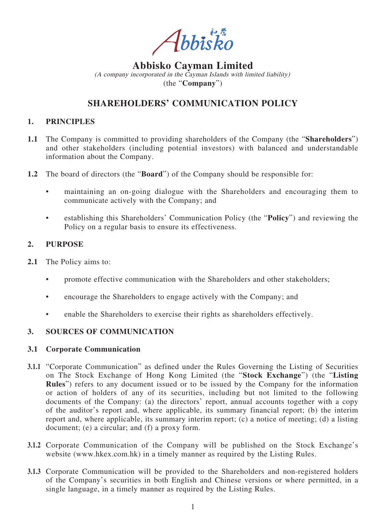Abbisko

# **Abbisko Cayman Limited**

(A company incorporated in the Cayman Islands with limited liability) (the "**Company**")

## **SHAREHOLDERS' COMMUNICATION POLICY**

## **1. PRINCIPLES**

- **1.1** The Company is committed to providing shareholders of the Company (the "**Shareholders**") and other stakeholders (including potential investors) with balanced and understandable information about the Company.
- **1.2** The board of directors (the "**Board**") of the Company should be responsible for:
	- maintaining an on-going dialogue with the Shareholders and encouraging them to communicate actively with the Company; and
	- establishing this Shareholders' Communication Policy (the "**Policy**") and reviewing the Policy on a regular basis to ensure its effectiveness.

## **2. PURPOSE**

- **2.1** The Policy aims to:
	- promote effective communication with the Shareholders and other stakeholders;
	- encourage the Shareholders to engage actively with the Company; and
	- enable the Shareholders to exercise their rights as shareholders effectively.

## **3. SOURCES OF COMMUNICATION**

#### **3.1 Corporate Communication**

- **3.1.1** "Corporate Communication" as defined under the Rules Governing the Listing of Securities on The Stock Exchange of Hong Kong Limited (the "**Stock Exchange**") (the "**Listing Rules**") refers to any document issued or to be issued by the Company for the information or action of holders of any of its securities, including but not limited to the following documents of the Company: (a) the directors' report, annual accounts together with a copy of the auditor's report and, where applicable, its summary financial report; (b) the interim report and, where applicable, its summary interim report; (c) a notice of meeting; (d) a listing document; (e) a circular; and (f) a proxy form.
- **3.1.2** Corporate Communication of the Company will be published on the Stock Exchange's website (www.hkex.com.hk) in a timely manner as required by the Listing Rules.
- **3.1.3** Corporate Communication will be provided to the Shareholders and non-registered holders of the Company's securities in both English and Chinese versions or where permitted, in a single language, in a timely manner as required by the Listing Rules.